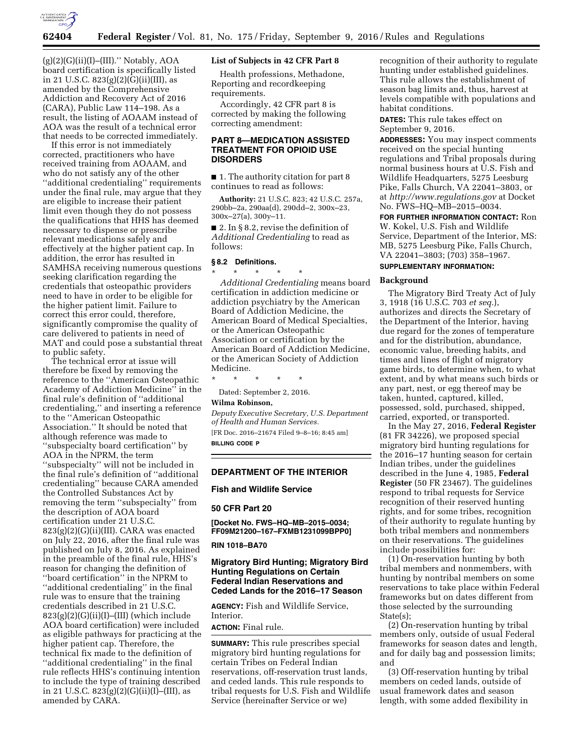

 $(g)(2)(G)(ii)(I)–(III)." Notably, AOA$ board certification is specifically listed in 21 U.S.C.  $823(g)(2)(G)(ii)(III)$ , as amended by the Comprehensive Addiction and Recovery Act of 2016 (CARA), Public Law 114–198. As a result, the listing of AOAAM instead of AOA was the result of a technical error that needs to be corrected immediately.

If this error is not immediately corrected, practitioners who have received training from AOAAM, and who do not satisfy any of the other ''additional credentialing'' requirements under the final rule, may argue that they are eligible to increase their patient limit even though they do not possess the qualifications that HHS has deemed necessary to dispense or prescribe relevant medications safely and effectively at the higher patient cap. In addition, the error has resulted in SAMHSA receiving numerous questions seeking clarification regarding the credentials that osteopathic providers need to have in order to be eligible for the higher patient limit. Failure to correct this error could, therefore, significantly compromise the quality of care delivered to patients in need of MAT and could pose a substantial threat to public safety.

The technical error at issue will therefore be fixed by removing the reference to the ''American Osteopathic Academy of Addiction Medicine'' in the final rule's definition of ''additional credentialing,'' and inserting a reference to the ''American Osteopathic Association.'' It should be noted that although reference was made to ''subspecialty board certification'' by AOA in the NPRM, the term ''subspecialty'' will not be included in the final rule's definition of ''additional credentialing'' because CARA amended the Controlled Substances Act by removing the term ''subspecialty'' from the description of AOA board certification under 21 U.S.C.  $823(g)(2)(G)(ii)(III)$ . CARA was enacted on July 22, 2016, after the final rule was published on July 8, 2016. As explained in the preamble of the final rule, HHS's reason for changing the definition of ''board certification'' in the NPRM to ''additional credentialing'' in the final rule was to ensure that the training credentials described in 21 U.S.C.  $823(g)(2)(G)(ii)(I)–(III)$  (which include AOA board certification) were included as eligible pathways for practicing at the higher patient cap. Therefore, the technical fix made to the definition of ''additional credentialing'' in the final rule reflects HHS's continuing intention to include the type of training described in 21 U.S.C. 823(g)(2)(G)(ii)(I)–(III), as amended by CARA.

## **List of Subjects in 42 CFR Part 8**

Health professions, Methadone, Reporting and recordkeeping requirements.

Accordingly, 42 CFR part 8 is corrected by making the following correcting amendment:

## **PART 8—MEDICATION ASSISTED TREATMENT FOR OPIOID USE DISORDERS**

■ 1. The authority citation for part 8 continues to read as follows:

**Authority:** 21 U.S.C. 823; 42 U.S.C. 257a, 290bb–2a, 290aa(d), 290dd–2, 300x–23, 300x–27(a), 300y–11.

■ 2. In § 8.2, revise the definition of *Additional Credentialing* to read as follows:

## **§ 8.2 Definitions.**

\* \* \* \* \*

*Additional Credentialing* means board certification in addiction medicine or addiction psychiatry by the American Board of Addiction Medicine, the American Board of Medical Specialties, or the American Osteopathic Association or certification by the American Board of Addiction Medicine, or the American Society of Addiction Medicine.

\* \* \* \* \*

Dated: September 2, 2016.

## **Wilma Robinson,**

*Deputy Executive Secretary, U.S. Department of Health and Human Services.*  [FR Doc. 2016–21674 Filed 9–8–16; 8:45 am] **BILLING CODE P** 

## **DEPARTMENT OF THE INTERIOR**

**Fish and Wildlife Service** 

## **50 CFR Part 20**

**[Docket No. FWS–HQ–MB–2015–0034; FF09M21200–167–FXMB1231099BPP0]** 

#### **RIN 1018–BA70**

## **Migratory Bird Hunting; Migratory Bird Hunting Regulations on Certain Federal Indian Reservations and Ceded Lands for the 2016–17 Season**

**AGENCY:** Fish and Wildlife Service, **Interior** 

# **ACTION:** Final rule.

**SUMMARY:** This rule prescribes special migratory bird hunting regulations for certain Tribes on Federal Indian reservations, off-reservation trust lands, and ceded lands. This rule responds to tribal requests for U.S. Fish and Wildlife Service (hereinafter Service or we)

recognition of their authority to regulate hunting under established guidelines. This rule allows the establishment of season bag limits and, thus, harvest at levels compatible with populations and habitat conditions.

**DATES:** This rule takes effect on September 9, 2016.

**ADDRESSES:** You may inspect comments received on the special hunting regulations and Tribal proposals during normal business hours at U.S. Fish and Wildlife Headquarters, 5275 Leesburg Pike, Falls Church, VA 22041–3803, or at *<http://www.regulations.gov>* at Docket No. FWS–HQ–MB–2015–0034.

**FOR FURTHER INFORMATION CONTACT:** Ron W. Kokel, U.S. Fish and Wildlife Service, Department of the Interior, MS: MB, 5275 Leesburg Pike, Falls Church, VA 22041–3803; (703) 358–1967.

## **SUPPLEMENTARY INFORMATION:**

## **Background**

The Migratory Bird Treaty Act of July 3, 1918 (16 U.S.C. 703 *et seq.*), authorizes and directs the Secretary of the Department of the Interior, having due regard for the zones of temperature and for the distribution, abundance, economic value, breeding habits, and times and lines of flight of migratory game birds, to determine when, to what extent, and by what means such birds or any part, nest, or egg thereof may be taken, hunted, captured, killed, possessed, sold, purchased, shipped, carried, exported, or transported.

In the May 27, 2016, **Federal Register**  (81 FR 34226), we proposed special migratory bird hunting regulations for the 2016–17 hunting season for certain Indian tribes, under the guidelines described in the June 4, 1985, **Federal Register** (50 FR 23467). The guidelines respond to tribal requests for Service recognition of their reserved hunting rights, and for some tribes, recognition of their authority to regulate hunting by both tribal members and nonmembers on their reservations. The guidelines include possibilities for:

(1) On-reservation hunting by both tribal members and nonmembers, with hunting by nontribal members on some reservations to take place within Federal frameworks but on dates different from those selected by the surrounding State(s):

(2) On-reservation hunting by tribal members only, outside of usual Federal frameworks for season dates and length, and for daily bag and possession limits; and

(3) Off-reservation hunting by tribal members on ceded lands, outside of usual framework dates and season length, with some added flexibility in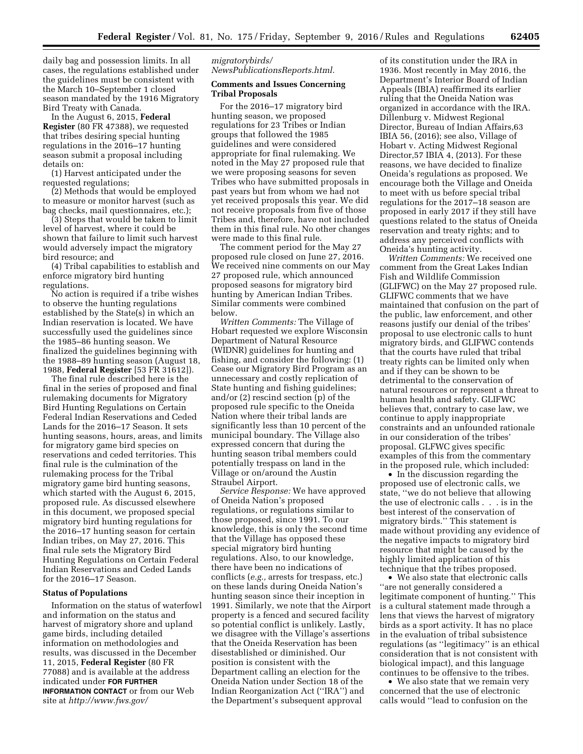daily bag and possession limits. In all cases, the regulations established under the guidelines must be consistent with the March 10–September 1 closed season mandated by the 1916 Migratory Bird Treaty with Canada.

In the August 6, 2015, **Federal Register** (80 FR 47388), we requested that tribes desiring special hunting regulations in the 2016–17 hunting season submit a proposal including details on:

(1) Harvest anticipated under the requested regulations;

(2) Methods that would be employed to measure or monitor harvest (such as bag checks, mail questionnaires, etc.);

(3) Steps that would be taken to limit level of harvest, where it could be shown that failure to limit such harvest would adversely impact the migratory bird resource; and

(4) Tribal capabilities to establish and enforce migratory bird hunting regulations.

No action is required if a tribe wishes to observe the hunting regulations established by the State(s) in which an Indian reservation is located. We have successfully used the guidelines since the 1985–86 hunting season. We finalized the guidelines beginning with the 1988–89 hunting season (August 18, 1988, **Federal Register** [53 FR 31612]).

The final rule described here is the final in the series of proposed and final rulemaking documents for Migratory Bird Hunting Regulations on Certain Federal Indian Reservations and Ceded Lands for the 2016–17 Season. It sets hunting seasons, hours, areas, and limits for migratory game bird species on reservations and ceded territories. This final rule is the culmination of the rulemaking process for the Tribal migratory game bird hunting seasons, which started with the August 6, 2015, proposed rule. As discussed elsewhere in this document, we proposed special migratory bird hunting regulations for the 2016–17 hunting season for certain Indian tribes, on May 27, 2016. This final rule sets the Migratory Bird Hunting Regulations on Certain Federal Indian Reservations and Ceded Lands for the 2016–17 Season.

## **Status of Populations**

Information on the status of waterfowl and information on the status and harvest of migratory shore and upland game birds, including detailed information on methodologies and results, was discussed in the December 11, 2015, **Federal Register** (80 FR 77088) and is available at the address indicated under **FOR FURTHER INFORMATION CONTACT** or from our Web site at *[http://www.fws.gov/](http://www.fws.gov/migratorybirds/NewsPublicationsReports.html)* 

## *[migratorybirds/](http://www.fws.gov/migratorybirds/NewsPublicationsReports.html) [NewsPublicationsReports.html.](http://www.fws.gov/migratorybirds/NewsPublicationsReports.html)*

## **Comments and Issues Concerning Tribal Proposals**

For the 2016–17 migratory bird hunting season, we proposed regulations for 23 Tribes or Indian groups that followed the 1985 guidelines and were considered appropriate for final rulemaking. We noted in the May 27 proposed rule that we were proposing seasons for seven Tribes who have submitted proposals in past years but from whom we had not yet received proposals this year. We did not receive proposals from five of those Tribes and, therefore, have not included them in this final rule. No other changes were made to this final rule.

The comment period for the May 27 proposed rule closed on June 27, 2016. We received nine comments on our May 27 proposed rule, which announced proposed seasons for migratory bird hunting by American Indian Tribes. Similar comments were combined below.

*Written Comments:* The Village of Hobart requested we explore Wisconsin Department of Natural Resource (WIDNR) guidelines for hunting and fishing, and consider the following: (1) Cease our Migratory Bird Program as an unnecessary and costly replication of State hunting and fishing guidelines; and/or (2) rescind section (p) of the proposed rule specific to the Oneida Nation where their tribal lands are significantly less than 10 percent of the municipal boundary. The Village also expressed concern that during the hunting season tribal members could potentially trespass on land in the Village or on/around the Austin Straubel Airport.

*Service Response:* We have approved of Oneida Nation's proposed regulations, or regulations similar to those proposed, since 1991. To our knowledge, this is only the second time that the Village has opposed these special migratory bird hunting regulations. Also, to our knowledge, there have been no indications of conflicts (*e.g.,* arrests for trespass, etc.) on these lands during Oneida Nation's hunting season since their inception in 1991. Similarly, we note that the Airport property is a fenced and secured facility so potential conflict is unlikely. Lastly, we disagree with the Village's assertions that the Oneida Reservation has been disestablished or diminished. Our position is consistent with the Department calling an election for the Oneida Nation under Section 18 of the Indian Reorganization Act (''IRA'') and the Department's subsequent approval

of its constitution under the IRA in 1936. Most recently in May 2016, the Department's Interior Board of Indian Appeals (IBIA) reaffirmed its earlier ruling that the Oneida Nation was organized in accordance with the IRA. Dillenburg v. Midwest Regional Director, Bureau of Indian Affairs,63 IBIA 56, (2016); see also, Village of Hobart v. Acting Midwest Regional Director,57 IBIA 4, (2013). For these reasons, we have decided to finalize Oneida's regulations as proposed. We encourage both the Village and Oneida to meet with us before special tribal regulations for the 2017–18 season are proposed in early 2017 if they still have questions related to the status of Oneida reservation and treaty rights; and to address any perceived conflicts with Oneida's hunting activity.

*Written Comments:* We received one comment from the Great Lakes Indian Fish and Wildlife Commission (GLIFWC) on the May 27 proposed rule. GLIFWC comments that we have maintained that confusion on the part of the public, law enforcement, and other reasons justify our denial of the tribes' proposal to use electronic calls to hunt migratory birds, and GLIFWC contends that the courts have ruled that tribal treaty rights can be limited only when and if they can be shown to be detrimental to the conservation of natural resources or represent a threat to human health and safety. GLIFWC believes that, contrary to case law, we continue to apply inappropriate constraints and an unfounded rationale in our consideration of the tribes' proposal. GLFWC gives specific examples of this from the commentary in the proposed rule, which included:

• In the discussion regarding the proposed use of electronic calls, we state, ''we do not believe that allowing the use of electronic calls . . . is in the best interest of the conservation of migratory birds.'' This statement is made without providing any evidence of the negative impacts to migratory bird resource that might be caused by the highly limited application of this technique that the tribes proposed.

• We also state that electronic calls ''are not generally considered a legitimate component of hunting.'' This is a cultural statement made through a lens that views the harvest of migratory birds as a sport activity. It has no place in the evaluation of tribal subsistence regulations (as ''legitimacy'' is an ethical consideration that is not consistent with biological impact), and this language continues to be offensive to the tribes.

• We also state that we remain very concerned that the use of electronic calls would ''lead to confusion on the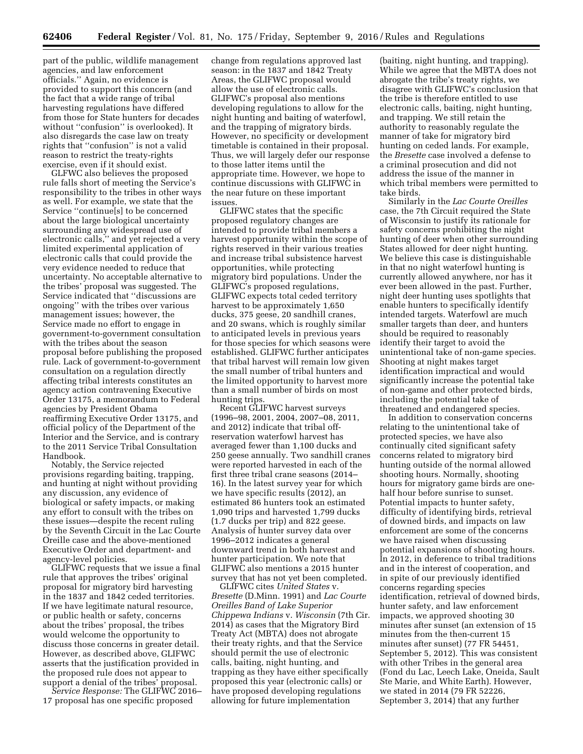part of the public, wildlife management agencies, and law enforcement officials.'' Again, no evidence is provided to support this concern (and the fact that a wide range of tribal harvesting regulations have differed from those for State hunters for decades without "confusion" is overlooked). It also disregards the case law on treaty rights that ''confusion'' is not a valid reason to restrict the treaty-rights exercise, even if it should exist.

GLFWC also believes the proposed rule falls short of meeting the Service's responsibility to the tribes in other ways as well. For example, we state that the Service ''continue[s] to be concerned about the large biological uncertainty surrounding any widespread use of electronic calls,'' and yet rejected a very limited experimental application of electronic calls that could provide the very evidence needed to reduce that uncertainty. No acceptable alternative to the tribes' proposal was suggested. The Service indicated that ''discussions are ongoing'' with the tribes over various management issues; however, the Service made no effort to engage in government-to-government consultation with the tribes about the season proposal before publishing the proposed rule. Lack of government-to-government consultation on a regulation directly affecting tribal interests constitutes an agency action contravening Executive Order 13175, a memorandum to Federal agencies by President Obama reaffirming Executive Order 13175, and official policy of the Department of the Interior and the Service, and is contrary to the 2011 Service Tribal Consultation Handbook.

Notably, the Service rejected provisions regarding baiting, trapping, and hunting at night without providing any discussion, any evidence of biological or safety impacts, or making any effort to consult with the tribes on these issues—despite the recent ruling by the Seventh Circuit in the Lac Courte Oreille case and the above-mentioned Executive Order and department- and agency-level policies.

GLIFWC requests that we issue a final rule that approves the tribes' original proposal for migratory bird harvesting in the 1837 and 1842 ceded territories. If we have legitimate natural resource, or public health or safety, concerns about the tribes' proposal, the tribes would welcome the opportunity to discuss those concerns in greater detail. However, as described above, GLIFWC asserts that the justification provided in the proposed rule does not appear to support a denial of the tribes' proposal.

*Service Response:* The GLIFWC 2016– 17 proposal has one specific proposed

change from regulations approved last season: in the 1837 and 1842 Treaty Areas, the GLIFWC proposal would allow the use of electronic calls. GLIFWC's proposal also mentions developing regulations to allow for the night hunting and baiting of waterfowl, and the trapping of migratory birds. However, no specificity or development timetable is contained in their proposal. Thus, we will largely defer our response to those latter items until the appropriate time. However, we hope to continue discussions with GLIFWC in the near future on these important issues.

GLIFWC states that the specific proposed regulatory changes are intended to provide tribal members a harvest opportunity within the scope of rights reserved in their various treaties and increase tribal subsistence harvest opportunities, while protecting migratory bird populations. Under the GLIFWC's proposed regulations, GLIFWC expects total ceded territory harvest to be approximately 1,650 ducks, 375 geese, 20 sandhill cranes, and 20 swans, which is roughly similar to anticipated levels in previous years for those species for which seasons were established. GLIFWC further anticipates that tribal harvest will remain low given the small number of tribal hunters and the limited opportunity to harvest more than a small number of birds on most hunting trips.

Recent GLIFWC harvest surveys (1996–98, 2001, 2004, 2007–08, 2011, and 2012) indicate that tribal offreservation waterfowl harvest has averaged fewer than 1,100 ducks and 250 geese annually. Two sandhill cranes were reported harvested in each of the first three tribal crane seasons (2014– 16). In the latest survey year for which we have specific results (2012), an estimated 86 hunters took an estimated 1,090 trips and harvested 1,799 ducks (1.7 ducks per trip) and 822 geese. Analysis of hunter survey data over 1996–2012 indicates a general downward trend in both harvest and hunter participation. We note that GLIFWC also mentions a 2015 hunter survey that has not yet been completed.

GLIFWC cites *United States* v. *Bresette* (D.Minn. 1991) and *Lac Courte Oreilles Band of Lake Superior Chippewa Indians* v. *Wisconsin* (7th Cir. 2014) as cases that the Migratory Bird Treaty Act (MBTA) does not abrogate their treaty rights, and that the Service should permit the use of electronic calls, baiting, night hunting, and trapping as they have either specifically proposed this year (electronic calls) or have proposed developing regulations allowing for future implementation

(baiting, night hunting, and trapping). While we agree that the MBTA does not abrogate the tribe's treaty rights, we disagree with GLIFWC's conclusion that the tribe is therefore entitled to use electronic calls, baiting, night hunting, and trapping. We still retain the authority to reasonably regulate the manner of take for migratory bird hunting on ceded lands. For example, the *Bresette* case involved a defense to a criminal prosecution and did not address the issue of the manner in which tribal members were permitted to take birds.

Similarly in the *Lac Courte Oreilles*  case, the 7th Circuit required the State of Wisconsin to justify its rationale for safety concerns prohibiting the night hunting of deer when other surrounding States allowed for deer night hunting. We believe this case is distinguishable in that no night waterfowl hunting is currently allowed anywhere, nor has it ever been allowed in the past. Further, night deer hunting uses spotlights that enable hunters to specifically identify intended targets. Waterfowl are much smaller targets than deer, and hunters should be required to reasonably identify their target to avoid the unintentional take of non-game species. Shooting at night makes target identification impractical and would significantly increase the potential take of non-game and other protected birds, including the potential take of threatened and endangered species.

In addition to conservation concerns relating to the unintentional take of protected species, we have also continually cited significant safety concerns related to migratory bird hunting outside of the normal allowed shooting hours. Normally, shooting hours for migratory game birds are onehalf hour before sunrise to sunset. Potential impacts to hunter safety, difficulty of identifying birds, retrieval of downed birds, and impacts on law enforcement are some of the concerns we have raised when discussing potential expansions of shooting hours. In 2012, in deference to tribal traditions and in the interest of cooperation, and in spite of our previously identified concerns regarding species identification, retrieval of downed birds, hunter safety, and law enforcement impacts, we approved shooting 30 minutes after sunset (an extension of 15 minutes from the then-current 15 minutes after sunset) (77 FR 54451, September 5, 2012). This was consistent with other Tribes in the general area (Fond du Lac, Leech Lake, Oneida, Sault Ste Marie, and White Earth). However, we stated in 2014 (79 FR 52226, September 3, 2014) that any further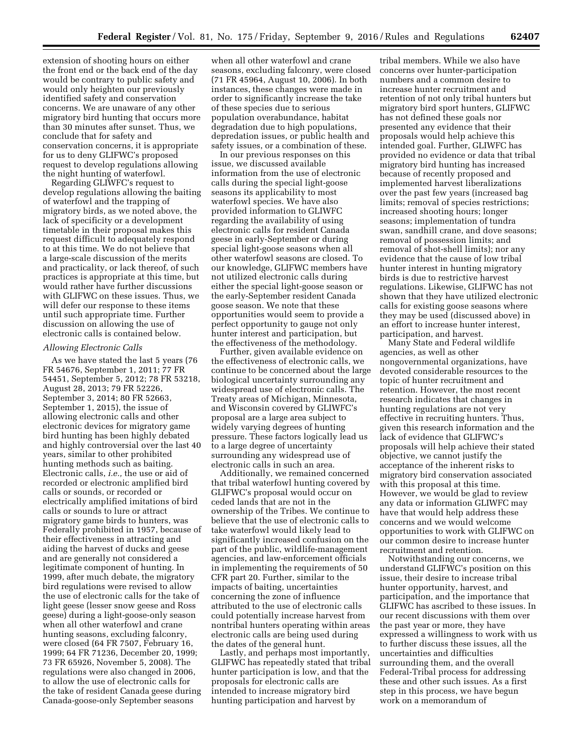extension of shooting hours on either the front end or the back end of the day would be contrary to public safety and would only heighten our previously identified safety and conservation concerns. We are unaware of any other migratory bird hunting that occurs more than 30 minutes after sunset. Thus, we conclude that for safety and conservation concerns, it is appropriate for us to deny GLIFWC's proposed request to develop regulations allowing the night hunting of waterfowl.

Regarding GLIWFC's request to develop regulations allowing the baiting of waterfowl and the trapping of migratory birds, as we noted above, the lack of specificity or a development timetable in their proposal makes this request difficult to adequately respond to at this time. We do not believe that a large-scale discussion of the merits and practicality, or lack thereof, of such practices is appropriate at this time, but would rather have further discussions with GLIFWC on these issues. Thus, we will defer our response to these items until such appropriate time. Further discussion on allowing the use of electronic calls is contained below.

#### *Allowing Electronic Calls*

As we have stated the last 5 years (76 FR 54676, September 1, 2011; 77 FR 54451, September 5, 2012; 78 FR 53218, August 28, 2013; 79 FR 52226, September 3, 2014; 80 FR 52663, September 1, 2015), the issue of allowing electronic calls and other electronic devices for migratory game bird hunting has been highly debated and highly controversial over the last 40 years, similar to other prohibited hunting methods such as baiting. Electronic calls, *i.e.,* the use or aid of recorded or electronic amplified bird calls or sounds, or recorded or electrically amplified imitations of bird calls or sounds to lure or attract migratory game birds to hunters, was Federally prohibited in 1957, because of their effectiveness in attracting and aiding the harvest of ducks and geese and are generally not considered a legitimate component of hunting. In 1999, after much debate, the migratory bird regulations were revised to allow the use of electronic calls for the take of light geese (lesser snow geese and Ross geese) during a light-goose-only season when all other waterfowl and crane hunting seasons, excluding falconry, were closed (64 FR 7507, February 16, 1999; 64 FR 71236, December 20, 1999; 73 FR 65926, November 5, 2008). The regulations were also changed in 2006, to allow the use of electronic calls for the take of resident Canada geese during Canada-goose-only September seasons

when all other waterfowl and crane seasons, excluding falconry, were closed (71 FR 45964, August 10, 2006). In both instances, these changes were made in order to significantly increase the take of these species due to serious population overabundance, habitat degradation due to high populations, depredation issues, or public health and safety issues, or a combination of these.

In our previous responses on this issue, we discussed available information from the use of electronic calls during the special light-goose seasons its applicability to most waterfowl species. We have also provided information to GLIWFC regarding the availability of using electronic calls for resident Canada geese in early-September or during special light-goose seasons when all other waterfowl seasons are closed. To our knowledge, GLIFWC members have not utilized electronic calls during either the special light-goose season or the early-September resident Canada goose season. We note that these opportunities would seem to provide a perfect opportunity to gauge not only hunter interest and participation, but the effectiveness of the methodology.

Further, given available evidence on the effectiveness of electronic calls, we continue to be concerned about the large biological uncertainty surrounding any widespread use of electronic calls. The Treaty areas of Michigan, Minnesota, and Wisconsin covered by GLIWFC's proposal are a large area subject to widely varying degrees of hunting pressure. These factors logically lead us to a large degree of uncertainty surrounding any widespread use of electronic calls in such an area.

Additionally, we remained concerned that tribal waterfowl hunting covered by GLIFWC's proposal would occur on ceded lands that are not in the ownership of the Tribes. We continue to believe that the use of electronic calls to take waterfowl would likely lead to significantly increased confusion on the part of the public, wildlife-management agencies, and law-enforcement officials in implementing the requirements of 50 CFR part 20. Further, similar to the impacts of baiting, uncertainties concerning the zone of influence attributed to the use of electronic calls could potentially increase harvest from nontribal hunters operating within areas electronic calls are being used during the dates of the general hunt.

Lastly, and perhaps most importantly, GLIFWC has repeatedly stated that tribal hunter participation is low, and that the proposals for electronic calls are intended to increase migratory bird hunting participation and harvest by

tribal members. While we also have concerns over hunter-participation numbers and a common desire to increase hunter recruitment and retention of not only tribal hunters but migratory bird sport hunters, GLIFWC has not defined these goals nor presented any evidence that their proposals would help achieve this intended goal. Further, GLIWFC has provided no evidence or data that tribal migratory bird hunting has increased because of recently proposed and implemented harvest liberalizations over the past few years (increased bag limits; removal of species restrictions; increased shooting hours; longer seasons; implementation of tundra swan, sandhill crane, and dove seasons; removal of possession limits; and removal of shot-shell limits); nor any evidence that the cause of low tribal hunter interest in hunting migratory birds is due to restrictive harvest regulations. Likewise, GLIFWC has not shown that they have utilized electronic calls for existing goose seasons where they may be used (discussed above) in an effort to increase hunter interest, participation, and harvest.

Many State and Federal wildlife agencies, as well as other nongovernmental organizations, have devoted considerable resources to the topic of hunter recruitment and retention. However, the most recent research indicates that changes in hunting regulations are not very effective in recruiting hunters. Thus, given this research information and the lack of evidence that GLIFWC's proposals will help achieve their stated objective, we cannot justify the acceptance of the inherent risks to migratory bird conservation associated with this proposal at this time. However, we would be glad to review any data or information GLIWFC may have that would help address these concerns and we would welcome opportunities to work with GLIFWC on our common desire to increase hunter recruitment and retention.

Notwithstanding our concerns, we understand GLIFWC's position on this issue, their desire to increase tribal hunter opportunity, harvest, and participation, and the importance that GLIFWC has ascribed to these issues. In our recent discussions with them over the past year or more, they have expressed a willingness to work with us to further discuss these issues, all the uncertainties and difficulties surrounding them, and the overall Federal-Tribal process for addressing these and other such issues. As a first step in this process, we have begun work on a memorandum of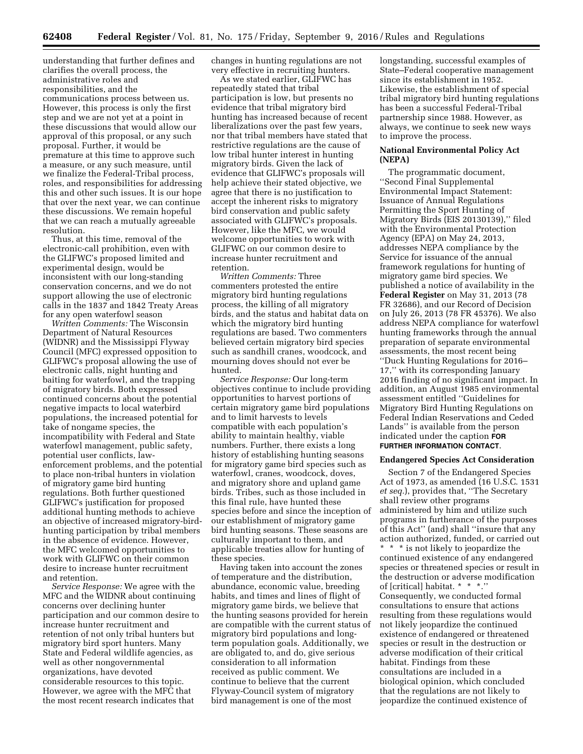understanding that further defines and clarifies the overall process, the administrative roles and responsibilities, and the communications process between us. However, this process is only the first step and we are not yet at a point in these discussions that would allow our approval of this proposal, or any such proposal. Further, it would be premature at this time to approve such a measure, or any such measure, until we finalize the Federal-Tribal process, roles, and responsibilities for addressing this and other such issues. It is our hope that over the next year, we can continue these discussions. We remain hopeful that we can reach a mutually agreeable resolution.

Thus, at this time, removal of the electronic-call prohibition, even with the GLIFWC's proposed limited and experimental design, would be inconsistent with our long-standing conservation concerns, and we do not support allowing the use of electronic calls in the 1837 and 1842 Treaty Areas for any open waterfowl season

*Written Comments:* The Wisconsin Department of Natural Resources (WIDNR) and the Mississippi Flyway Council (MFC) expressed opposition to GLIFWC's proposal allowing the use of electronic calls, night hunting and baiting for waterfowl, and the trapping of migratory birds. Both expressed continued concerns about the potential negative impacts to local waterbird populations, the increased potential for take of nongame species, the incompatibility with Federal and State waterfowl management, public safety, potential user conflicts, lawenforcement problems, and the potential to place non-tribal hunters in violation of migratory game bird hunting regulations. Both further questioned GLIFWC's justification for proposed additional hunting methods to achieve an objective of increased migratory-birdhunting participation by tribal members in the absence of evidence. However, the MFC welcomed opportunities to work with GLIFWC on their common desire to increase hunter recruitment and retention.

*Service Response:* We agree with the MFC and the WIDNR about continuing concerns over declining hunter participation and our common desire to increase hunter recruitment and retention of not only tribal hunters but migratory bird sport hunters. Many State and Federal wildlife agencies, as well as other nongovernmental organizations, have devoted considerable resources to this topic. However, we agree with the MFC that the most recent research indicates that

changes in hunting regulations are not very effective in recruiting hunters.

As we stated earlier, GLIFWC has repeatedly stated that tribal participation is low, but presents no evidence that tribal migratory bird hunting has increased because of recent liberalizations over the past few years, nor that tribal members have stated that restrictive regulations are the cause of low tribal hunter interest in hunting migratory birds. Given the lack of evidence that GLIFWC's proposals will help achieve their stated objective, we agree that there is no justification to accept the inherent risks to migratory bird conservation and public safety associated with GLIFWC's proposals. However, like the MFC, we would welcome opportunities to work with GLIFWC on our common desire to increase hunter recruitment and retention.

*Written Comments:* Three commenters protested the entire migratory bird hunting regulations process, the killing of all migratory birds, and the status and habitat data on which the migratory bird hunting regulations are based. Two commenters believed certain migratory bird species such as sandhill cranes, woodcock, and mourning doves should not ever be hunted.

*Service Response:* Our long-term objectives continue to include providing opportunities to harvest portions of certain migratory game bird populations and to limit harvests to levels compatible with each population's ability to maintain healthy, viable numbers. Further, there exists a long history of establishing hunting seasons for migratory game bird species such as waterfowl, cranes, woodcock, doves, and migratory shore and upland game birds. Tribes, such as those included in this final rule, have hunted these species before and since the inception of our establishment of migratory game bird hunting seasons. These seasons are culturally important to them, and applicable treaties allow for hunting of these species.

Having taken into account the zones of temperature and the distribution, abundance, economic value, breeding habits, and times and lines of flight of migratory game birds, we believe that the hunting seasons provided for herein are compatible with the current status of migratory bird populations and longterm population goals. Additionally, we are obligated to, and do, give serious consideration to all information received as public comment. We continue to believe that the current Flyway-Council system of migratory bird management is one of the most

longstanding, successful examples of State–Federal cooperative management since its establishment in 1952. Likewise, the establishment of special tribal migratory bird hunting regulations has been a successful Federal-Tribal partnership since 1988. However, as always, we continue to seek new ways to improve the process.

## **National Environmental Policy Act (NEPA)**

The programmatic document, ''Second Final Supplemental Environmental Impact Statement: Issuance of Annual Regulations Permitting the Sport Hunting of Migratory Birds (EIS 20130139),'' filed with the Environmental Protection Agency (EPA) on May 24, 2013, addresses NEPA compliance by the Service for issuance of the annual framework regulations for hunting of migratory game bird species. We published a notice of availability in the **Federal Register** on May 31, 2013 (78 FR 32686), and our Record of Decision on July 26, 2013 (78 FR 45376). We also address NEPA compliance for waterfowl hunting frameworks through the annual preparation of separate environmental assessments, the most recent being ''Duck Hunting Regulations for 2016– 17,'' with its corresponding January 2016 finding of no significant impact. In addition, an August 1985 environmental assessment entitled ''Guidelines for Migratory Bird Hunting Regulations on Federal Indian Reservations and Ceded Lands'' is available from the person indicated under the caption **FOR FURTHER INFORMATION CONTACT**.

#### **Endangered Species Act Consideration**

Section 7 of the Endangered Species Act of 1973, as amended (16 U.S.C. 1531 *et seq.*), provides that, ''The Secretary shall review other programs administered by him and utilize such programs in furtherance of the purposes of this Act'' (and) shall ''insure that any action authorized, funded, or carried out \* \* \* is not likely to jeopardize the continued existence of any endangered species or threatened species or result in the destruction or adverse modification of [critical] habitat. \* \* \*.'' Consequently, we conducted formal consultations to ensure that actions resulting from these regulations would not likely jeopardize the continued existence of endangered or threatened species or result in the destruction or adverse modification of their critical habitat. Findings from these consultations are included in a biological opinion, which concluded that the regulations are not likely to jeopardize the continued existence of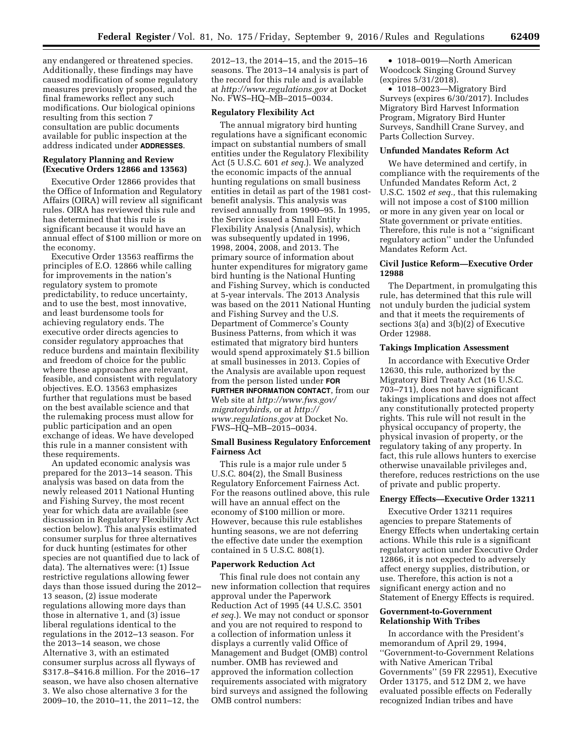any endangered or threatened species. Additionally, these findings may have caused modification of some regulatory measures previously proposed, and the final frameworks reflect any such modifications. Our biological opinions resulting from this section 7 consultation are public documents available for public inspection at the address indicated under **ADDRESSES**.

#### **Regulatory Planning and Review (Executive Orders 12866 and 13563)**

Executive Order 12866 provides that the Office of Information and Regulatory Affairs (OIRA) will review all significant rules. OIRA has reviewed this rule and has determined that this rule is significant because it would have an annual effect of \$100 million or more on the economy.

Executive Order 13563 reaffirms the principles of E.O. 12866 while calling for improvements in the nation's regulatory system to promote predictability, to reduce uncertainty, and to use the best, most innovative, and least burdensome tools for achieving regulatory ends. The executive order directs agencies to consider regulatory approaches that reduce burdens and maintain flexibility and freedom of choice for the public where these approaches are relevant, feasible, and consistent with regulatory objectives. E.O. 13563 emphasizes further that regulations must be based on the best available science and that the rulemaking process must allow for public participation and an open exchange of ideas. We have developed this rule in a manner consistent with these requirements.

An updated economic analysis was prepared for the 2013–14 season. This analysis was based on data from the newly released 2011 National Hunting and Fishing Survey, the most recent year for which data are available (see discussion in Regulatory Flexibility Act section below). This analysis estimated consumer surplus for three alternatives for duck hunting (estimates for other species are not quantified due to lack of data). The alternatives were: (1) Issue restrictive regulations allowing fewer days than those issued during the 2012– 13 season, (2) issue moderate regulations allowing more days than those in alternative 1, and (3) issue liberal regulations identical to the regulations in the 2012–13 season. For the 2013–14 season, we chose Alternative 3, with an estimated consumer surplus across all flyways of \$317.8–\$416.8 million. For the 2016–17 season, we have also chosen alternative 3. We also chose alternative 3 for the 2009–10, the 2010–11, the 2011–12, the

2012–13, the 2014–15, and the 2015–16 seasons. The 2013–14 analysis is part of the record for this rule and is available at *<http://www.regulations.gov>* at Docket No. FWS–HQ–MB–2015–0034.

## **Regulatory Flexibility Act**

The annual migratory bird hunting regulations have a significant economic impact on substantial numbers of small entities under the Regulatory Flexibility Act (5 U.S.C. 601 *et seq.*). We analyzed the economic impacts of the annual hunting regulations on small business entities in detail as part of the 1981 costbenefit analysis. This analysis was revised annually from 1990–95. In 1995, the Service issued a Small Entity Flexibility Analysis (Analysis), which was subsequently updated in 1996, 1998, 2004, 2008, and 2013. The primary source of information about hunter expenditures for migratory game bird hunting is the National Hunting and Fishing Survey, which is conducted at 5-year intervals. The 2013 Analysis was based on the 2011 National Hunting and Fishing Survey and the U.S. Department of Commerce's County Business Patterns, from which it was estimated that migratory bird hunters would spend approximately \$1.5 billion at small businesses in 2013. Copies of the Analysis are available upon request from the person listed under **FOR FURTHER INFORMATION CONTACT**, from our Web site at *[http://www.fws.gov/](http://www.fws.gov/migratorybirds) [migratorybirds,](http://www.fws.gov/migratorybirds)* or at *[http://](http://www.regulations.gov) [www.regulations.gov](http://www.regulations.gov)* at Docket No. FWS–HQ–MB–2015–0034.

## **Small Business Regulatory Enforcement Fairness Act**

This rule is a major rule under 5 U.S.C. 804(2), the Small Business Regulatory Enforcement Fairness Act. For the reasons outlined above, this rule will have an annual effect on the economy of \$100 million or more. However, because this rule establishes hunting seasons, we are not deferring the effective date under the exemption contained in 5 U.S.C. 808(1).

#### **Paperwork Reduction Act**

This final rule does not contain any new information collection that requires approval under the Paperwork Reduction Act of 1995 (44 U.S.C. 3501 *et seq.*). We may not conduct or sponsor and you are not required to respond to a collection of information unless it displays a currently valid Office of Management and Budget (OMB) control number. OMB has reviewed and approved the information collection requirements associated with migratory bird surveys and assigned the following OMB control numbers:

• 1018–0019—North American Woodcock Singing Ground Survey (expires 5/31/2018).

• 1018–0023—Migratory Bird Surveys (expires 6/30/2017). Includes Migratory Bird Harvest Information Program, Migratory Bird Hunter Surveys, Sandhill Crane Survey, and Parts Collection Survey.

## **Unfunded Mandates Reform Act**

We have determined and certify, in compliance with the requirements of the Unfunded Mandates Reform Act, 2 U.S.C. 1502 *et seq.,* that this rulemaking will not impose a cost of \$100 million or more in any given year on local or State government or private entities. Therefore, this rule is not a ''significant regulatory action'' under the Unfunded Mandates Reform Act.

## **Civil Justice Reform—Executive Order 12988**

The Department, in promulgating this rule, has determined that this rule will not unduly burden the judicial system and that it meets the requirements of sections 3(a) and 3(b)(2) of Executive Order 12988.

#### **Takings Implication Assessment**

In accordance with Executive Order 12630, this rule, authorized by the Migratory Bird Treaty Act (16 U.S.C. 703–711), does not have significant takings implications and does not affect any constitutionally protected property rights. This rule will not result in the physical occupancy of property, the physical invasion of property, or the regulatory taking of any property. In fact, this rule allows hunters to exercise otherwise unavailable privileges and, therefore, reduces restrictions on the use of private and public property.

#### **Energy Effects—Executive Order 13211**

Executive Order 13211 requires agencies to prepare Statements of Energy Effects when undertaking certain actions. While this rule is a significant regulatory action under Executive Order 12866, it is not expected to adversely affect energy supplies, distribution, or use. Therefore, this action is not a significant energy action and no Statement of Energy Effects is required.

## **Government-to-Government Relationship With Tribes**

In accordance with the President's memorandum of April 29, 1994, ''Government-to-Government Relations with Native American Tribal Governments'' (59 FR 22951), Executive Order 13175, and 512 DM 2, we have evaluated possible effects on Federally recognized Indian tribes and have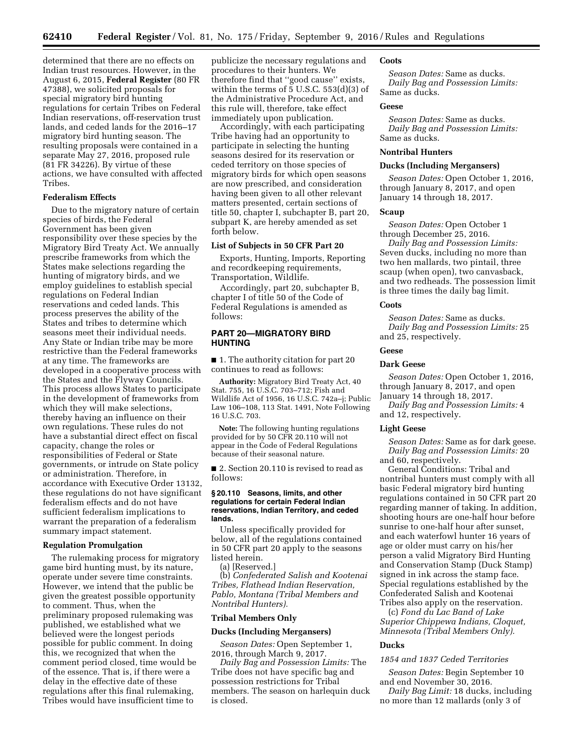determined that there are no effects on Indian trust resources. However, in the August 6, 2015, **Federal Register** (80 FR 47388), we solicited proposals for special migratory bird hunting regulations for certain Tribes on Federal Indian reservations, off-reservation trust lands, and ceded lands for the 2016–17 migratory bird hunting season. The resulting proposals were contained in a separate May 27, 2016, proposed rule (81 FR 34226). By virtue of these actions, we have consulted with affected Tribes.

## **Federalism Effects**

Due to the migratory nature of certain species of birds, the Federal Government has been given responsibility over these species by the Migratory Bird Treaty Act. We annually prescribe frameworks from which the States make selections regarding the hunting of migratory birds, and we employ guidelines to establish special regulations on Federal Indian reservations and ceded lands. This process preserves the ability of the States and tribes to determine which seasons meet their individual needs. Any State or Indian tribe may be more restrictive than the Federal frameworks at any time. The frameworks are developed in a cooperative process with the States and the Flyway Councils. This process allows States to participate in the development of frameworks from which they will make selections, thereby having an influence on their own regulations. These rules do not have a substantial direct effect on fiscal capacity, change the roles or responsibilities of Federal or State governments, or intrude on State policy or administration. Therefore, in accordance with Executive Order 13132, these regulations do not have significant federalism effects and do not have sufficient federalism implications to warrant the preparation of a federalism summary impact statement.

#### **Regulation Promulgation**

The rulemaking process for migratory game bird hunting must, by its nature, operate under severe time constraints. However, we intend that the public be given the greatest possible opportunity to comment. Thus, when the preliminary proposed rulemaking was published, we established what we believed were the longest periods possible for public comment. In doing this, we recognized that when the comment period closed, time would be of the essence. That is, if there were a delay in the effective date of these regulations after this final rulemaking, Tribes would have insufficient time to

publicize the necessary regulations and procedures to their hunters. We therefore find that ''good cause'' exists, within the terms of 5 U.S.C. 553(d)(3) of the Administrative Procedure Act, and this rule will, therefore, take effect immediately upon publication.

Accordingly, with each participating Tribe having had an opportunity to participate in selecting the hunting seasons desired for its reservation or ceded territory on those species of migratory birds for which open seasons are now prescribed, and consideration having been given to all other relevant matters presented, certain sections of title 50, chapter I, subchapter B, part 20, subpart K, are hereby amended as set forth below.

## **List of Subjects in 50 CFR Part 20**

Exports, Hunting, Imports, Reporting and recordkeeping requirements, Transportation, Wildlife.

Accordingly, part 20, subchapter B, chapter I of title 50 of the Code of Federal Regulations is amended as follows:

## **PART 20—MIGRATORY BIRD HUNTING**

■ 1. The authority citation for part 20 continues to read as follows:

**Authority:** Migratory Bird Treaty Act, 40 Stat. 755, 16 U.S.C. 703–712; Fish and Wildlife Act of 1956, 16 U.S.C. 742a–j; Public Law 106–108, 113 Stat. 1491, Note Following 16 U.S.C. 703.

**Note:** The following hunting regulations provided for by 50 CFR 20.110 will not appear in the Code of Federal Regulations because of their seasonal nature.

■ 2. Section 20.110 is revised to read as follows:

#### **§ 20.110 Seasons, limits, and other regulations for certain Federal Indian reservations, Indian Territory, and ceded lands.**

Unless specifically provided for below, all of the regulations contained in 50 CFR part 20 apply to the seasons listed herein.

(a) [Reserved.]

(b) *Confederated Salish and Kootenai Tribes, Flathead Indian Reservation, Pablo, Montana (Tribal Members and Nontribal Hunters).* 

## **Tribal Members Only**

#### **Ducks (Including Mergansers)**

*Season Dates:* Open September 1, 2016, through March 9, 2017.

*Daily Bag and Possession Limits:* The Tribe does not have specific bag and possession restrictions for Tribal members. The season on harlequin duck is closed.

## **Coots**

*Season Dates:* Same as ducks. *Daily Bag and Possession Limits:*  Same as ducks.

#### **Geese**

*Season Dates:* Same as ducks. *Daily Bag and Possession Limits:*  Same as ducks.

#### **Nontribal Hunters**

## **Ducks (Including Mergansers)**

*Season Dates:* Open October 1, 2016, through January 8, 2017, and open January 14 through 18, 2017.

## **Scaup**

*Season Dates:* Open October 1 through December 25, 2016.

*Daily Bag and Possession Limits:*  Seven ducks, including no more than two hen mallards, two pintail, three scaup (when open), two canvasback, and two redheads. The possession limit is three times the daily bag limit.

#### **Coots**

*Season Dates:* Same as ducks. *Daily Bag and Possession Limits:* 25 and 25, respectively.

## **Geese**

## **Dark Geese**

*Season Dates:* Open October 1, 2016, through January 8, 2017, and open January 14 through 18, 2017.

*Daily Bag and Possession Limits:* 4 and 12, respectively.

#### **Light Geese**

*Season Dates:* Same as for dark geese. *Daily Bag and Possession Limits:* 20 and 60, respectively.

General Conditions: Tribal and nontribal hunters must comply with all basic Federal migratory bird hunting regulations contained in 50 CFR part 20 regarding manner of taking. In addition, shooting hours are one-half hour before sunrise to one-half hour after sunset, and each waterfowl hunter 16 years of age or older must carry on his/her person a valid Migratory Bird Hunting and Conservation Stamp (Duck Stamp) signed in ink across the stamp face. Special regulations established by the Confederated Salish and Kootenai Tribes also apply on the reservation.

(c) *Fond du Lac Band of Lake Superior Chippewa Indians, Cloquet, Minnesota (Tribal Members Only).* 

## **Ducks**

## *1854 and 1837 Ceded Territories*

- *Season Dates:* Begin September 10 and end November 30, 2016.
- *Daily Bag Limit:* 18 ducks, including no more than 12 mallards (only 3 of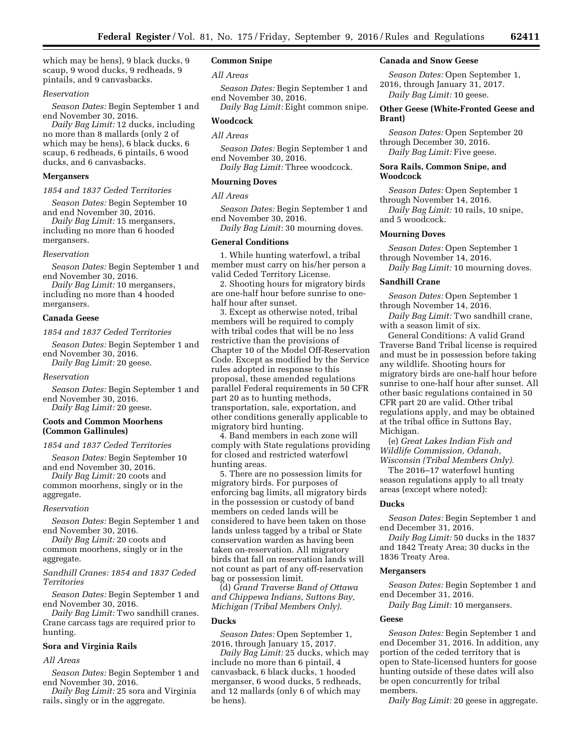which may be hens), 9 black ducks, 9 scaup, 9 wood ducks, 9 redheads, 9 pintails, and 9 canvasbacks.

## *Reservation*

*Season Dates:* Begin September 1 and end November 30, 2016.

*Daily Bag Limit:* 12 ducks, including no more than 8 mallards (only 2 of which may be hens), 6 black ducks, 6 scaup, 6 redheads, 6 pintails, 6 wood ducks, and 6 canvasbacks.

## **Mergansers**

#### *1854 and 1837 Ceded Territories*

*Season Dates:* Begin September 10 and end November 30, 2016.

*Daily Bag Limit:* 15 mergansers, including no more than 6 hooded mergansers.

#### *Reservation*

*Season Dates:* Begin September 1 and end November 30, 2016.

*Daily Bag Limit:* 10 mergansers, including no more than 4 hooded mergansers.

#### **Canada Geese**

#### *1854 and 1837 Ceded Territories*

*Season Dates:* Begin September 1 and end November 30, 2016. *Daily Bag Limit:* 20 geese.

#### *Reservation*

*Season Dates:* Begin September 1 and end November 30, 2016. *Daily Bag Limit:* 20 geese.

## **Coots and Common Moorhens (Common Gallinules)**

*1854 and 1837 Ceded Territories* 

*Season Dates:* Begin September 10 and end November 30, 2016.

*Daily Bag Limit:* 20 coots and common moorhens, singly or in the aggregate.

#### *Reservation*

*Season Dates:* Begin September 1 and end November 30, 2016.

*Daily Bag Limit:* 20 coots and common moorhens, singly or in the aggregate.

*Sandhill Cranes: 1854 and 1837 Ceded Territories* 

*Season Dates:* Begin September 1 and end November 30, 2016.

*Daily Bag Limit:* Two sandhill cranes. Crane carcass tags are required prior to hunting.

#### **Sora and Virginia Rails**

## *All Areas*

*Season Dates:* Begin September 1 and end November 30, 2016.

*Daily Bag Limit:* 25 sora and Virginia rails, singly or in the aggregate.

## **Common Snipe**

*All Areas* 

- *Season Dates:* Begin September 1 and end November 30, 2016.
- *Daily Bag Limit:* Eight common snipe.

## **Woodcock**

## *All Areas*

*Season Dates:* Begin September 1 and end November 30, 2016.

*Daily Bag Limit:* Three woodcock.

## **Mourning Doves**

## *All Areas*

*Season Dates:* Begin September 1 and end November 30, 2016.

*Daily Bag Limit:* 30 mourning doves.

## **General Conditions**

1. While hunting waterfowl, a tribal member must carry on his/her person a valid Ceded Territory License.

2. Shooting hours for migratory birds are one-half hour before sunrise to onehalf hour after sunset.

3. Except as otherwise noted, tribal members will be required to comply with tribal codes that will be no less restrictive than the provisions of Chapter 10 of the Model Off-Reservation Code. Except as modified by the Service rules adopted in response to this proposal, these amended regulations parallel Federal requirements in 50 CFR part 20 as to hunting methods, transportation, sale, exportation, and other conditions generally applicable to migratory bird hunting.

4. Band members in each zone will comply with State regulations providing for closed and restricted waterfowl hunting areas.

5. There are no possession limits for migratory birds. For purposes of enforcing bag limits, all migratory birds in the possession or custody of band members on ceded lands will be considered to have been taken on those lands unless tagged by a tribal or State conservation warden as having been taken on-reservation. All migratory birds that fall on reservation lands will not count as part of any off-reservation bag or possession limit.

(d) *Grand Traverse Band of Ottawa and Chippewa Indians, Suttons Bay, Michigan (Tribal Members Only).* 

## **Ducks**

*Season Dates:* Open September 1, 2016, through January 15, 2017.

*Daily Bag Limit:* 25 ducks, which may include no more than 6 pintail, 4 canvasback, 6 black ducks, 1 hooded merganser, 6 wood ducks, 5 redheads, and 12 mallards (only 6 of which may be hens).

## **Canada and Snow Geese**

*Season Dates:* Open September 1, 2016, through January 31, 2017. *Daily Bag Limit:* 10 geese.

## **Other Geese (White-Fronted Geese and Brant)**

*Season Dates:* Open September 20 through December 30, 2016.

*Daily Bag Limit:* Five geese.

## **Sora Rails, Common Snipe, and Woodcock**

*Season Dates:* Open September 1 through November 14, 2016.

*Daily Bag Limit:* 10 rails, 10 snipe, and 5 woodcock.

## **Mourning Doves**

*Season Dates:* Open September 1 through November 14, 2016.

*Daily Bag Limit:* 10 mourning doves.

## **Sandhill Crane**

*Season Dates:* Open September 1 through November 14, 2016.

*Daily Bag Limit:* Two sandhill crane, with a season limit of six.

General Conditions: A valid Grand Traverse Band Tribal license is required and must be in possession before taking any wildlife. Shooting hours for migratory birds are one-half hour before sunrise to one-half hour after sunset. All other basic regulations contained in 50 CFR part 20 are valid. Other tribal regulations apply, and may be obtained at the tribal office in Suttons Bay, Michigan.

(e) *Great Lakes Indian Fish and Wildlife Commission, Odanah, Wisconsin (Tribal Members Only).* 

The 2016–17 waterfowl hunting season regulations apply to all treaty areas (except where noted):

#### **Ducks**

*Season Dates:* Begin September 1 and end December 31, 2016.

*Daily Bag Limit:* 50 ducks in the 1837 and 1842 Treaty Area; 30 ducks in the 1836 Treaty Area.

#### **Mergansers**

*Season Dates:* Begin September 1 and end December 31, 2016.

*Daily Bag Limit:* 10 mergansers.

#### **Geese**

*Season Dates:* Begin September 1 and end December 31, 2016. In addition, any portion of the ceded territory that is open to State-licensed hunters for goose hunting outside of these dates will also be open concurrently for tribal members.

*Daily Bag Limit:* 20 geese in aggregate.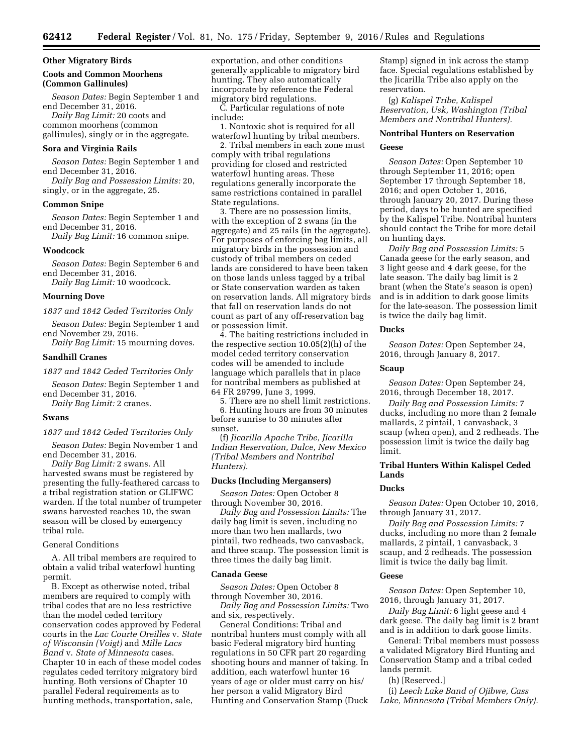#### **Other Migratory Birds**

## **Coots and Common Moorhens (Common Gallinules)**

*Season Dates:* Begin September 1 and end December 31, 2016. *Daily Bag Limit:* 20 coots and

common moorhens (common gallinules), singly or in the aggregate.

#### **Sora and Virginia Rails**

*Season Dates:* Begin September 1 and end December 31, 2016.

*Daily Bag and Possession Limits:* 20, singly, or in the aggregate, 25.

#### **Common Snipe**

*Season Dates:* Begin September 1 and end December 31, 2016.

*Daily Bag Limit:* 16 common snipe.

## **Woodcock**

*Season Dates:* Begin September 6 and end December 31, 2016. *Daily Bag Limit:* 10 woodcock.

#### **Mourning Dove**

*1837 and 1842 Ceded Territories Only* 

*Season Dates:* Begin September 1 and end November 29, 2016.

*Daily Bag Limit:* 15 mourning doves.

## **Sandhill Cranes**

*1837 and 1842 Ceded Territories Only* 

*Season Dates:* Begin September 1 and end December 31, 2016.

*Daily Bag Limit:* 2 cranes.

#### **Swans**

*1837 and 1842 Ceded Territories Only* 

*Season Dates:* Begin November 1 and end December 31, 2016.

*Daily Bag Limit:* 2 swans. All harvested swans must be registered by presenting the fully-feathered carcass to a tribal registration station or GLIFWC warden. If the total number of trumpeter swans harvested reaches 10, the swan season will be closed by emergency tribal rule.

## General Conditions

A. All tribal members are required to obtain a valid tribal waterfowl hunting permit.

B. Except as otherwise noted, tribal members are required to comply with tribal codes that are no less restrictive than the model ceded territory conservation codes approved by Federal courts in the *Lac Courte Oreilles* v. *State of Wisconsin (Voigt)* and *Mille Lacs Band* v. *State of Minnesota* cases. Chapter 10 in each of these model codes regulates ceded territory migratory bird hunting. Both versions of Chapter 10 parallel Federal requirements as to hunting methods, transportation, sale,

exportation, and other conditions generally applicable to migratory bird hunting. They also automatically incorporate by reference the Federal migratory bird regulations.

C. Particular regulations of note include:

1. Nontoxic shot is required for all waterfowl hunting by tribal members.

2. Tribal members in each zone must comply with tribal regulations providing for closed and restricted waterfowl hunting areas. These regulations generally incorporate the same restrictions contained in parallel State regulations.

3. There are no possession limits, with the exception of 2 swans (in the aggregate) and 25 rails (in the aggregate). For purposes of enforcing bag limits, all migratory birds in the possession and custody of tribal members on ceded lands are considered to have been taken on those lands unless tagged by a tribal or State conservation warden as taken on reservation lands. All migratory birds that fall on reservation lands do not count as part of any off-reservation bag or possession limit.

4. The baiting restrictions included in the respective section 10.05(2)(h) of the model ceded territory conservation codes will be amended to include language which parallels that in place for nontribal members as published at 64 FR 29799, June 3, 1999.

5. There are no shell limit restrictions. 6. Hunting hours are from 30 minutes before sunrise to 30 minutes after sunset.

(f) *Jicarilla Apache Tribe, Jicarilla Indian Reservation, Dulce, New Mexico (Tribal Members and Nontribal Hunters).* 

## **Ducks (Including Mergansers)**

*Season Dates:* Open October 8 through November 30, 2016.

*Daily Bag and Possession Limits:* The daily bag limit is seven, including no more than two hen mallards, two pintail, two redheads, two canvasback, and three scaup. The possession limit is three times the daily bag limit.

#### **Canada Geese**

*Season Dates:* Open October 8 through November 30, 2016.

*Daily Bag and Possession Limits:* Two and six, respectively.

General Conditions: Tribal and nontribal hunters must comply with all basic Federal migratory bird hunting regulations in 50 CFR part 20 regarding shooting hours and manner of taking. In addition, each waterfowl hunter 16 years of age or older must carry on his/ her person a valid Migratory Bird Hunting and Conservation Stamp (Duck

Stamp) signed in ink across the stamp face. Special regulations established by the Jicarilla Tribe also apply on the reservation.

(g) *Kalispel Tribe, Kalispel Reservation, Usk, Washington (Tribal Members and Nontribal Hunters).* 

# **Nontribal Hunters on Reservation**

## **Geese**

*Season Dates:* Open September 10 through September 11, 2016; open September 17 through September 18, 2016; and open October 1, 2016, through January 20, 2017. During these period, days to be hunted are specified by the Kalispel Tribe. Nontribal hunters should contact the Tribe for more detail on hunting days.

*Daily Bag and Possession Limits:* 5 Canada geese for the early season, and 3 light geese and 4 dark geese, for the late season. The daily bag limit is 2 brant (when the State's season is open) and is in addition to dark goose limits for the late-season. The possession limit is twice the daily bag limit.

## **Ducks**

*Season Dates:* Open September 24, 2016, through January 8, 2017.

## **Scaup**

*Season Dates:* Open September 24, 2016, through December 18, 2017.

*Daily Bag and Possession Limits:* 7 ducks, including no more than 2 female mallards, 2 pintail, 1 canvasback, 3 scaup (when open), and 2 redheads. The possession limit is twice the daily bag limit.

## **Tribal Hunters Within Kalispel Ceded Lands**

## **Ducks**

*Season Dates:* Open October 10, 2016, through January 31, 2017.

*Daily Bag and Possession Limits:* 7 ducks, including no more than 2 female mallards, 2 pintail, 1 canvasback, 3 scaup, and 2 redheads. The possession limit is twice the daily bag limit.

#### **Geese**

*Season Dates:* Open September 10, 2016, through January 31, 2017.

*Daily Bag Limit:* 6 light geese and 4 dark geese. The daily bag limit is 2 brant and is in addition to dark goose limits.

General: Tribal members must possess a validated Migratory Bird Hunting and Conservation Stamp and a tribal ceded lands permit.

(h) [Reserved.]

(i) *Leech Lake Band of Ojibwe, Cass Lake, Minnesota (Tribal Members Only).*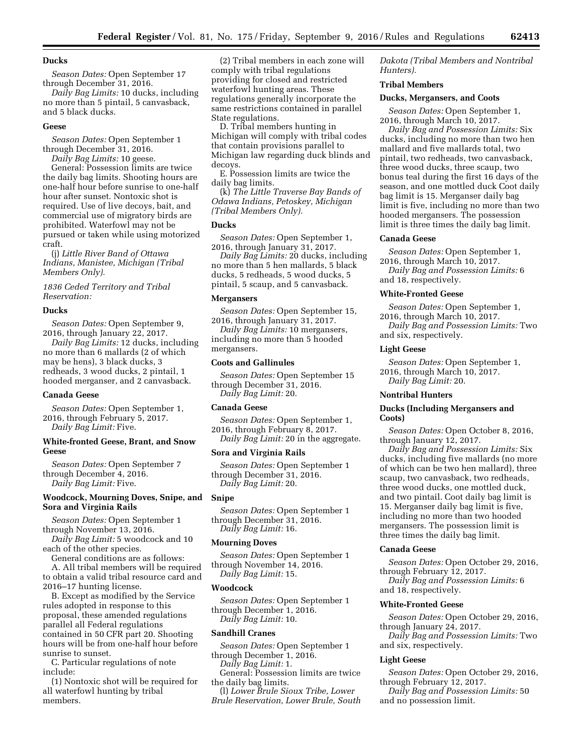## **Ducks**

*Season Dates:* Open September 17 through December 31, 2016.

*Daily Bag Limits:* 10 ducks, including no more than 5 pintail, 5 canvasback, and 5 black ducks.

#### **Geese**

*Season Dates:* Open September 1 through December 31, 2016.

*Daily Bag Limits:* 10 geese.

General: Possession limits are twice the daily bag limits. Shooting hours are one-half hour before sunrise to one-half hour after sunset. Nontoxic shot is required. Use of live decoys, bait, and commercial use of migratory birds are prohibited. Waterfowl may not be pursued or taken while using motorized craft.

(j) *Little River Band of Ottawa Indians, Manistee, Michigan (Tribal Members Only).* 

*1836 Ceded Territory and Tribal Reservation:* 

#### **Ducks**

*Season Dates:* Open September 9, 2016, through January 22, 2017.

*Daily Bag Limits:* 12 ducks, including no more than 6 mallards (2 of which may be hens), 3 black ducks, 3 redheads, 3 wood ducks, 2 pintail, 1 hooded merganser, and 2 canvasback.

## **Canada Geese**

*Season Dates:* Open September 1, 2016, through February 5, 2017. *Daily Bag Limit:* Five.

## **White-fronted Geese, Brant, and Snow Geese**

*Season Dates:* Open September 7 through December 4, 2016.

*Daily Bag Limit:* Five.

## **Woodcock, Mourning Doves, Snipe, and Snipe Sora and Virginia Rails**

*Season Dates:* Open September 1 through November 13, 2016.

*Daily Bag Limit:* 5 woodcock and 10 each of the other species.

General conditions are as follows: A. All tribal members will be required to obtain a valid tribal resource card and 2016–17 hunting license.

B. Except as modified by the Service rules adopted in response to this proposal, these amended regulations parallel all Federal regulations contained in 50 CFR part 20. Shooting hours will be from one-half hour before sunrise to sunset.

C. Particular regulations of note include:

(1) Nontoxic shot will be required for all waterfowl hunting by tribal members.

(2) Tribal members in each zone will comply with tribal regulations providing for closed and restricted waterfowl hunting areas. These regulations generally incorporate the same restrictions contained in parallel State regulations.

D. Tribal members hunting in Michigan will comply with tribal codes that contain provisions parallel to Michigan law regarding duck blinds and decoys.

E. Possession limits are twice the daily bag limits.

(k) *The Little Traverse Bay Bands of Odawa Indians, Petoskey, Michigan (Tribal Members Only).* 

#### **Ducks**

*Season Dates:* Open September 1, 2016, through January 31, 2017.

*Daily Bag Limits:* 20 ducks, including no more than 5 hen mallards, 5 black ducks, 5 redheads, 5 wood ducks, 5 pintail, 5 scaup, and 5 canvasback.

#### **Mergansers**

*Season Dates:* Open September 15, 2016, through January 31, 2017. *Daily Bag Limits:* 10 mergansers, including no more than 5 hooded mergansers.

#### **Coots and Gallinules**

*Season Dates:* Open September 15 through December 31, 2016. *Daily Bag Limit:* 20.

#### **Canada Geese**

*Season Dates:* Open September 1, 2016, through February 8, 2017. *Daily Bag Limit:* 20 in the aggregate.

#### **Sora and Virginia Rails**

*Season Dates:* Open September 1 through December 31, 2016. *Daily Bag Limit:* 20.

*Season Dates:* Open September 1 through December 31, 2016. *Daily Bag Limit:* 16.

#### **Mourning Doves**

*Season Dates:* Open September 1 through November 14, 2016. *Daily Bag Limit:* 15.

#### **Woodcock**

*Season Dates:* Open September 1 through December 1, 2016. *Daily Bag Limit:* 10.

## **Sandhill Cranes**

*Season Dates:* Open September 1 through December 1, 2016.

*Daily Bag Limit:* 1. General: Possession limits are twice

the daily bag limits.

(l) *Lower Brule Sioux Tribe, Lower Brule Reservation, Lower Brule, South*  *Dakota (Tribal Members and Nontribal Hunters).* 

## **Tribal Members**

## **Ducks, Mergansers, and Coots**

*Season Dates:* Open September 1, 2016, through March 10, 2017.

*Daily Bag and Possession Limits:* Six ducks, including no more than two hen mallard and five mallards total, two pintail, two redheads, two canvasback, three wood ducks, three scaup, two bonus teal during the first 16 days of the season, and one mottled duck Coot daily bag limit is 15. Merganser daily bag limit is five, including no more than two hooded mergansers. The possession limit is three times the daily bag limit.

## **Canada Geese**

*Season Dates:* Open September 1, 2016, through March 10, 2017.

*Daily Bag and Possession Limits:* 6 and 18, respectively.

## **White-Fronted Geese**

*Season Dates:* Open September 1, 2016, through March 10, 2017. *Daily Bag and Possession Limits:* Two and six, respectively.

## **Light Geese**

*Season Dates:* Open September 1, 2016, through March 10, 2017. *Daily Bag Limit:* 20.

#### **Nontribal Hunters**

## **Ducks (Including Mergansers and Coots)**

*Season Dates:* Open October 8, 2016, through January 12, 2017.

*Daily Bag and Possession Limits:* Six ducks, including five mallards (no more of which can be two hen mallard), three scaup, two canvasback, two redheads, three wood ducks, one mottled duck, and two pintail. Coot daily bag limit is 15. Merganser daily bag limit is five, including no more than two hooded mergansers. The possession limit is three times the daily bag limit.

### **Canada Geese**

*Season Dates:* Open October 29, 2016, through February 12, 2017. *Daily Bag and Possession Limits:* 6 and 18, respectively.

#### **White-Fronted Geese**

*Season Dates:* Open October 29, 2016, through January 24, 2017. *Daily Bag and Possession Limits:* Two and six, respectively.

#### **Light Geese**

*Season Dates:* Open October 29, 2016, through February 12, 2017.

*Daily Bag and Possession Limits:* 50 and no possession limit.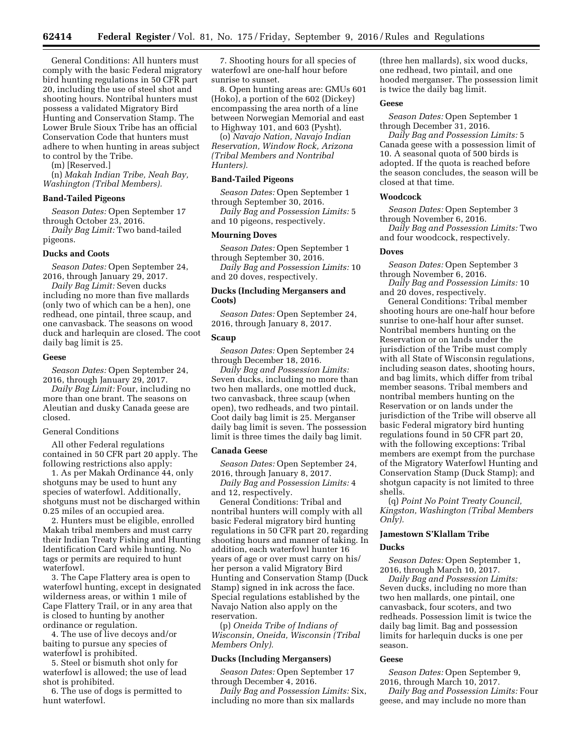General Conditions: All hunters must comply with the basic Federal migratory bird hunting regulations in 50 CFR part 20, including the use of steel shot and shooting hours. Nontribal hunters must possess a validated Migratory Bird Hunting and Conservation Stamp. The Lower Brule Sioux Tribe has an official Conservation Code that hunters must adhere to when hunting in areas subject to control by the Tribe.

(m) [Reserved.]

(n) *Makah Indian Tribe, Neah Bay, Washington (Tribal Members).* 

## **Band-Tailed Pigeons**

*Season Dates:* Open September 17 through October 23, 2016.

*Daily Bag Limit:* Two band-tailed pigeons.

#### **Ducks and Coots**

*Season Dates:* Open September 24, 2016, through January 29, 2017.

*Daily Bag Limit:* Seven ducks including no more than five mallards (only two of which can be a hen), one redhead, one pintail, three scaup, and one canvasback. The seasons on wood duck and harlequin are closed. The coot daily bag limit is 25.

## **Geese**

*Season Dates:* Open September 24, 2016, through January 29, 2017.

*Daily Bag Limit:* Four, including no more than one brant. The seasons on Aleutian and dusky Canada geese are closed.

## General Conditions

All other Federal regulations contained in 50 CFR part 20 apply. The following restrictions also apply:

1. As per Makah Ordinance 44, only shotguns may be used to hunt any species of waterfowl. Additionally, shotguns must not be discharged within 0.25 miles of an occupied area.

2. Hunters must be eligible, enrolled Makah tribal members and must carry their Indian Treaty Fishing and Hunting Identification Card while hunting. No tags or permits are required to hunt waterfowl.

3. The Cape Flattery area is open to waterfowl hunting, except in designated wilderness areas, or within 1 mile of Cape Flattery Trail, or in any area that is closed to hunting by another ordinance or regulation.

4. The use of live decoys and/or baiting to pursue any species of waterfowl is prohibited.

5. Steel or bismuth shot only for waterfowl is allowed; the use of lead shot is prohibited.

6. The use of dogs is permitted to hunt waterfowl.

7. Shooting hours for all species of waterfowl are one-half hour before sunrise to sunset.

8. Open hunting areas are: GMUs 601 (Hoko), a portion of the 602 (Dickey) encompassing the area north of a line between Norwegian Memorial and east to Highway 101, and 603 (Pysht).

(o) *Navajo Nation, Navajo Indian Reservation, Window Rock, Arizona (Tribal Members and Nontribal Hunters).* 

## **Band-Tailed Pigeons**

*Season Dates:* Open September 1 through September 30, 2016.

*Daily Bag and Possession Limits:* 5 and 10 pigeons, respectively.

#### **Mourning Doves**

*Season Dates:* Open September 1 through September 30, 2016. *Daily Bag and Possession Limits:* 10

and 20 doves, respectively.

## **Ducks (Including Mergansers and Coots)**

*Season Dates:* Open September 24, 2016, through January 8, 2017.

## **Scaup**

*Season Dates:* Open September 24 through December 18, 2016.

*Daily Bag and Possession Limits:*  Seven ducks, including no more than two hen mallards, one mottled duck, two canvasback, three scaup (when open), two redheads, and two pintail. Coot daily bag limit is 25. Merganser daily bag limit is seven. The possession limit is three times the daily bag limit.

## **Canada Geese**

*Season Dates:* Open September 24, 2016, through January 8, 2017.

*Daily Bag and Possession Limits:* 4 and 12, respectively.

General Conditions: Tribal and nontribal hunters will comply with all basic Federal migratory bird hunting regulations in 50 CFR part 20, regarding shooting hours and manner of taking. In addition, each waterfowl hunter 16 years of age or over must carry on his/ her person a valid Migratory Bird Hunting and Conservation Stamp (Duck Stamp) signed in ink across the face. Special regulations established by the Navajo Nation also apply on the reservation.

(p) *Oneida Tribe of Indians of Wisconsin, Oneida, Wisconsin (Tribal Members Only).* 

#### **Ducks (Including Mergansers)**

*Season Dates:* Open September 17 through December 4, 2016.

*Daily Bag and Possession Limits:* Six, including no more than six mallards

(three hen mallards), six wood ducks, one redhead, two pintail, and one hooded merganser. The possession limit is twice the daily bag limit.

#### **Geese**

*Season Dates:* Open September 1 through December 31, 2016.

*Daily Bag and Possession Limits:* 5 Canada geese with a possession limit of 10. A seasonal quota of 500 birds is adopted. If the quota is reached before the season concludes, the season will be closed at that time.

#### **Woodcock**

*Season Dates:* Open September 3 through November 6, 2016.

*Daily Bag and Possession Limits:* Two and four woodcock, respectively.

#### **Doves**

*Season Dates:* Open September 3 through November 6, 2016.

*Daily Bag and Possession Limits:* 10 and 20 doves, respectively.

General Conditions: Tribal member shooting hours are one-half hour before sunrise to one-half hour after sunset. Nontribal members hunting on the Reservation or on lands under the jurisdiction of the Tribe must comply with all State of Wisconsin regulations, including season dates, shooting hours, and bag limits, which differ from tribal member seasons. Tribal members and nontribal members hunting on the Reservation or on lands under the jurisdiction of the Tribe will observe all basic Federal migratory bird hunting regulations found in 50 CFR part 20, with the following exceptions: Tribal members are exempt from the purchase of the Migratory Waterfowl Hunting and Conservation Stamp (Duck Stamp); and shotgun capacity is not limited to three shells.

(q) *Point No Point Treaty Council, Kingston, Washington (Tribal Members Only).* 

# **Jamestown S'Klallam Tribe**

## **Ducks**

*Season Dates:* Open September 1, 2016, through March 10, 2017.

*Daily Bag and Possession Limits:*  Seven ducks, including no more than two hen mallards, one pintail, one canvasback, four scoters, and two redheads. Possession limit is twice the daily bag limit. Bag and possession limits for harlequin ducks is one per season.

#### **Geese**

*Season Dates:* Open September 9, 2016, through March 10, 2017.

*Daily Bag and Possession Limits:* Four geese, and may include no more than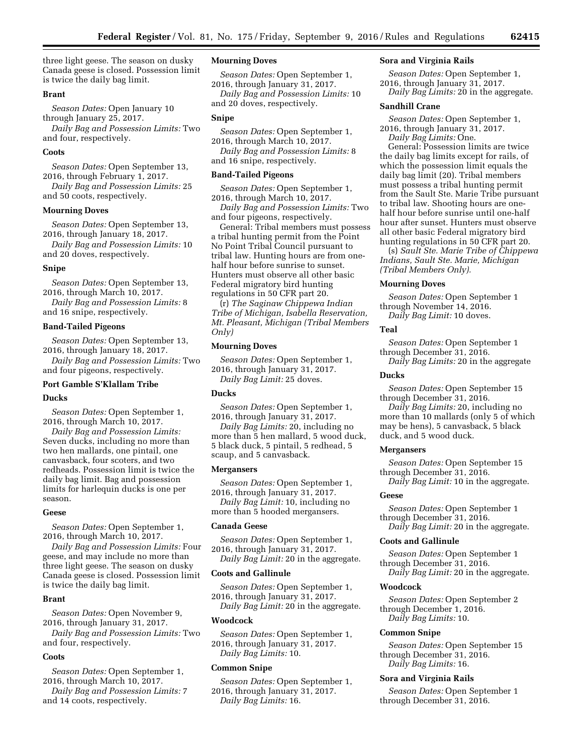three light geese. The season on dusky Canada geese is closed. Possession limit is twice the daily bag limit.

## **Brant**

*Season Dates:* Open January 10 through January 25, 2017.

*Daily Bag and Possession Limits:* Two and four, respectively.

#### **Coots**

*Season Dates:* Open September 13, 2016, through February 1, 2017. *Daily Bag and Possession Limits:* 25 and 50 coots, respectively.

#### **Mourning Doves**

*Season Dates:* Open September 13, 2016, through January 18, 2017.

*Daily Bag and Possession Limits:* 10 and 20 doves, respectively.

#### **Snipe**

*Season Dates:* Open September 13, 2016, through March 10, 2017.

*Daily Bag and Possession Limits:* 8 and 16 snipe, respectively.

#### **Band-Tailed Pigeons**

*Season Dates:* Open September 13, 2016, through January 18, 2017. *Daily Bag and Possession Limits:* Two and four pigeons, respectively.

#### **Port Gamble S'Klallam Tribe**

#### **Ducks**

*Season Dates:* Open September 1, 2016, through March 10, 2017.

*Daily Bag and Possession Limits:*  Seven ducks, including no more than two hen mallards, one pintail, one canvasback, four scoters, and two redheads. Possession limit is twice the daily bag limit. Bag and possession limits for harlequin ducks is one per season.

#### **Geese**

*Season Dates:* Open September 1, 2016, through March 10, 2017.

*Daily Bag and Possession Limits:* Four geese, and may include no more than three light geese. The season on dusky Canada geese is closed. Possession limit is twice the daily bag limit.

#### **Brant**

*Season Dates:* Open November 9, 2016, through January 31, 2017.

*Daily Bag and Possession Limits:* Two and four, respectively.

## **Coots**

*Season Dates:* Open September 1, 2016, through March 10, 2017.

*Daily Bag and Possession Limits:* 7 and 14 coots, respectively.

## **Mourning Doves**

*Season Dates:* Open September 1, 2016, through January 31, 2017.

*Daily Bag and Possession Limits:* 10 and 20 doves, respectively.

#### **Snipe**

*Season Dates:* Open September 1, 2016, through March 10, 2017. *Daily Bag and Possession Limits:* 8 and 16 snipe, respectively.

#### **Band-Tailed Pigeons**

*Season Dates:* Open September 1, 2016, through March 10, 2017.

*Daily Bag and Possession Limits:* Two and four pigeons, respectively.

General: Tribal members must possess a tribal hunting permit from the Point No Point Tribal Council pursuant to tribal law. Hunting hours are from onehalf hour before sunrise to sunset. Hunters must observe all other basic Federal migratory bird hunting regulations in 50 CFR part 20.

(r) *The Saginaw Chippewa Indian Tribe of Michigan, Isabella Reservation, Mt. Pleasant, Michigan (Tribal Members Only)* 

## **Mourning Doves**

*Season Dates:* Open September 1, 2016, through January 31, 2017. *Daily Bag Limit:* 25 doves.

#### **Ducks**

*Season Dates:* Open September 1, 2016, through January 31, 2017.

*Daily Bag Limits:* 20, including no more than 5 hen mallard, 5 wood duck, 5 black duck, 5 pintail, 5 redhead, 5 scaup, and 5 canvasback.

#### **Mergansers**

*Season Dates:* Open September 1, 2016, through January 31, 2017. *Daily Bag Limit:* 10, including no more than 5 hooded mergansers.

#### **Canada Geese**

*Season Dates:* Open September 1, 2016, through January 31, 2017. *Daily Bag Limit:* 20 in the aggregate.

#### **Coots and Gallinule**

*Season Dates:* Open September 1, 2016, through January 31, 2017. *Daily Bag Limit:* 20 in the aggregate.

#### **Woodcock**

*Season Dates:* Open September 1, 2016, through January 31, 2017. *Daily Bag Limits:* 10.

#### **Common Snipe**

*Season Dates:* Open September 1, 2016, through January 31, 2017. *Daily Bag Limits:* 16.

## **Sora and Virginia Rails**

*Season Dates:* Open September 1, 2016, through January 31, 2017.

# *Daily Bag Limits:* 20 in the aggregate.

## **Sandhill Crane**

*Season Dates:* Open September 1, 2016, through January 31, 2017. *Daily Bag Limits:* One.

General: Possession limits are twice the daily bag limits except for rails, of which the possession limit equals the daily bag limit (20). Tribal members must possess a tribal hunting permit from the Sault Ste. Marie Tribe pursuant to tribal law. Shooting hours are onehalf hour before sunrise until one-half hour after sunset. Hunters must observe all other basic Federal migratory bird hunting regulations in 50 CFR part 20.

(s) *Sault Ste. Marie Tribe of Chippewa Indians, Sault Ste. Marie, Michigan (Tribal Members Only).* 

## **Mourning Doves**

*Season Dates:* Open September 1 through November 14, 2016. *Daily Bag Limit:* 10 doves.

## **Teal**

*Season Dates:* Open September 1 through December 31, 2016.

*Daily Bag Limits:* 20 in the aggregate

## **Ducks**

*Season Dates:* Open September 15 through December 31, 2016.

*Daily Bag Limits:* 20, including no more than 10 mallards (only 5 of which may be hens), 5 canvasback, 5 black duck, and 5 wood duck.

#### **Mergansers**

*Season Dates:* Open September 15 through December 31, 2016.

*Daily Bag Limit:* 10 in the aggregate.

## **Geese**

*Season Dates:* Open September 1 through December 31, 2016. *Daily Bag Limit:* 20 in the aggregate.

#### **Coots and Gallinule**

*Season Dates:* Open September 1 through December 31, 2016. *Daily Bag Limit:* 20 in the aggregate.

#### **Woodcock**

*Season Dates:* Open September 2 through December 1, 2016. *Daily Bag Limits:* 10.

## **Common Snipe**

*Season Dates:* Open September 15 through December 31, 2016. *Daily Bag Limits:* 16.

#### **Sora and Virginia Rails**

*Season Dates:* Open September 1 through December 31, 2016.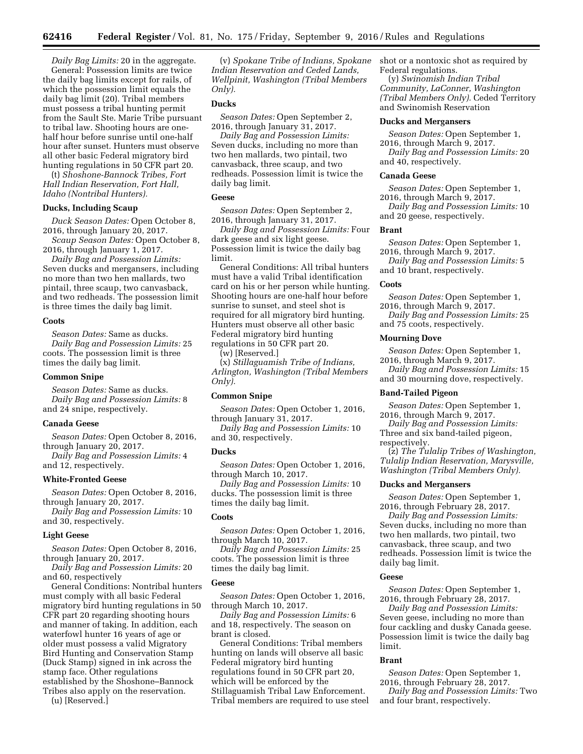*Daily Bag Limits:* 20 in the aggregate. General: Possession limits are twice the daily bag limits except for rails, of which the possession limit equals the daily bag limit (20). Tribal members must possess a tribal hunting permit from the Sault Ste. Marie Tribe pursuant to tribal law. Shooting hours are onehalf hour before sunrise until one-half hour after sunset. Hunters must observe all other basic Federal migratory bird hunting regulations in 50 CFR part 20.

(t) *Shoshone-Bannock Tribes, Fort Hall Indian Reservation, Fort Hall, Idaho (Nontribal Hunters).* 

## **Ducks, Including Scaup**

*Duck Season Dates:* Open October 8, 2016, through January 20, 2017.

*Scaup Season Dates:* Open October 8, 2016, through January 1, 2017.

*Daily Bag and Possession Limits:*  Seven ducks and mergansers, including no more than two hen mallards, two pintail, three scaup, two canvasback, and two redheads. The possession limit is three times the daily bag limit.

#### **Coots**

*Season Dates:* Same as ducks. *Daily Bag and Possession Limits:* 25 coots. The possession limit is three times the daily bag limit.

## **Common Snipe**

*Season Dates:* Same as ducks. *Daily Bag and Possession Limits:* 8 and 24 snipe, respectively.

#### **Canada Geese**

*Season Dates:* Open October 8, 2016, through January 20, 2017. *Daily Bag and Possession Limits:* 4

and 12, respectively.

#### **White-Fronted Geese**

*Season Dates:* Open October 8, 2016, through January 20, 2017.

*Daily Bag and Possession Limits:* 10 and 30, respectively.

#### **Light Geese**

*Season Dates:* Open October 8, 2016, through January 20, 2017.

*Daily Bag and Possession Limits:* 20 and 60, respectively

General Conditions: Nontribal hunters must comply with all basic Federal migratory bird hunting regulations in 50 CFR part 20 regarding shooting hours and manner of taking. In addition, each waterfowl hunter 16 years of age or older must possess a valid Migratory Bird Hunting and Conservation Stamp (Duck Stamp) signed in ink across the stamp face. Other regulations established by the Shoshone–Bannock Tribes also apply on the reservation.

(u) [Reserved.]

(v) *Spokane Tribe of Indians, Spokane Indian Reservation and Ceded Lands, Wellpinit, Washington (Tribal Members Only).* 

## **Ducks**

*Season Dates:* Open September 2, 2016, through January 31, 2017.

*Daily Bag and Possession Limits:*  Seven ducks, including no more than two hen mallards, two pintail, two canvasback, three scaup, and two redheads. Possession limit is twice the daily bag limit.

#### **Geese**

*Season Dates:* Open September 2, 2016, through January 31, 2017.

*Daily Bag and Possession Limits:* Four dark geese and six light geese. Possession limit is twice the daily bag limit.

General Conditions: All tribal hunters must have a valid Tribal identification card on his or her person while hunting. Shooting hours are one-half hour before sunrise to sunset, and steel shot is required for all migratory bird hunting. Hunters must observe all other basic Federal migratory bird hunting regulations in 50 CFR part 20.

(w) [Reserved.]

(x) *Stillaguamish Tribe of Indians, Arlington, Washington (Tribal Members Only).* 

#### **Common Snipe**

*Season Dates:* Open October 1, 2016, through January 31, 2017.

*Daily Bag and Possession Limits:* 10 and 30, respectively.

#### **Ducks**

*Season Dates:* Open October 1, 2016, through March 10, 2017.

*Daily Bag and Possession Limits:* 10 ducks. The possession limit is three times the daily bag limit.

## **Coots**

*Season Dates:* Open October 1, 2016, through March 10, 2017.

*Daily Bag and Possession Limits:* 25 coots. The possession limit is three times the daily bag limit.

#### **Geese**

*Season Dates:* Open October 1, 2016, through March 10, 2017.

*Daily Bag and Possession Limits:* 6 and 18, respectively. The season on brant is closed.

General Conditions: Tribal members hunting on lands will observe all basic Federal migratory bird hunting regulations found in 50 CFR part 20, which will be enforced by the Stillaguamish Tribal Law Enforcement. Tribal members are required to use steel shot or a nontoxic shot as required by Federal regulations.

(y) *Swinomish Indian Tribal Community, LaConner, Washington (Tribal Members Only).* Ceded Territory and Swinomish Reservation

## **Ducks and Mergansers**

*Season Dates:* Open September 1, 2016, through March 9, 2017.

*Daily Bag and Possession Limits:* 20 and 40, respectively.

## **Canada Geese**

*Season Dates:* Open September 1, 2016, through March 9, 2017. *Daily Bag and Possession Limits:* 10 and 20 geese, respectively.

#### **Brant**

*Season Dates:* Open September 1, 2016, through March 9, 2017.

*Daily Bag and Possession Limits:* 5 and 10 brant, respectively.

#### **Coots**

*Season Dates:* Open September 1, 2016, through March 9, 2017. *Daily Bag and Possession Limits:* 25 and 75 coots, respectively.

## **Mourning Dove**

*Season Dates:* Open September 1, 2016, through March 9, 2017.

*Daily Bag and Possession Limits:* 15 and 30 mourning dove, respectively.

## **Band-Tailed Pigeon**

*Season Dates:* Open September 1, 2016, through March 9, 2017.

*Daily Bag and Possession Limits:*  Three and six band-tailed pigeon,

respectively.

(z) *The Tulalip Tribes of Washington, Tulalip Indian Reservation, Marysville, Washington (Tribal Members Only).* 

## **Ducks and Mergansers**

*Season Dates:* Open September 1, 2016, through February 28, 2017.

*Daily Bag and Possession Limits:*  Seven ducks, including no more than two hen mallards, two pintail, two canvasback, three scaup, and two redheads. Possession limit is twice the daily bag limit.

#### **Geese**

*Season Dates:* Open September 1, 2016, through February 28, 2017.

*Daily Bag and Possession Limits:*  Seven geese, including no more than four cackling and dusky Canada geese. Possession limit is twice the daily bag limit.

#### **Brant**

*Season Dates:* Open September 1, 2016, through February 28, 2017.

*Daily Bag and Possession Limits:* Two and four brant, respectively.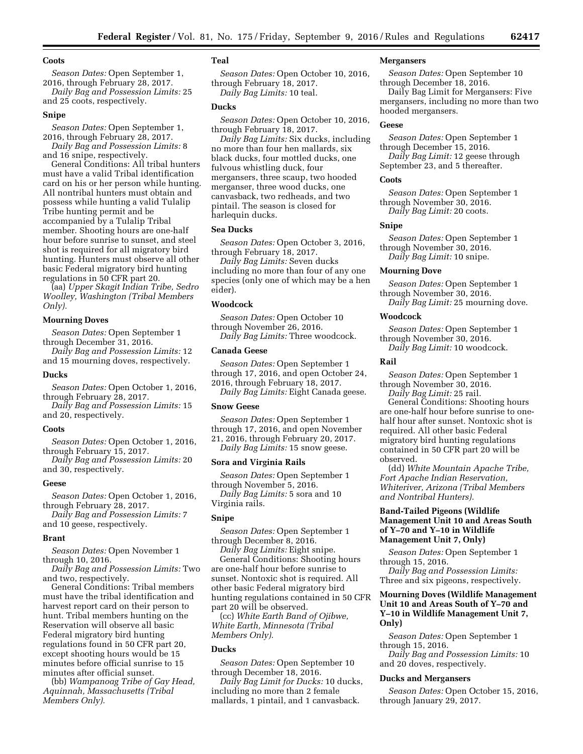## **Coots**

*Season Dates:* Open September 1, 2016, through February 28, 2017. *Daily Bag and Possession Limits:* 25

and 25 coots, respectively.

#### **Snipe**

*Season Dates:* Open September 1, 2016, through February 28, 2017.

*Daily Bag and Possession Limits:* 8 and 16 snipe, respectively.

General Conditions: All tribal hunters must have a valid Tribal identification card on his or her person while hunting. All nontribal hunters must obtain and possess while hunting a valid Tulalip Tribe hunting permit and be accompanied by a Tulalip Tribal member. Shooting hours are one-half hour before sunrise to sunset, and steel shot is required for all migratory bird hunting. Hunters must observe all other basic Federal migratory bird hunting regulations in 50 CFR part 20.

(aa) *Upper Skagit Indian Tribe, Sedro Woolley, Washington (Tribal Members Only).* 

#### **Mourning Doves**

*Season Dates:* Open September 1 through December 31, 2016.

*Daily Bag and Possession Limits:* 12 and 15 mourning doves, respectively.

## **Ducks**

*Season Dates:* Open October 1, 2016, through February 28, 2017.

*Daily Bag and Possession Limits:* 15 and 20, respectively.

#### **Coots**

*Season Dates:* Open October 1, 2016, through February 15, 2017.

*Daily Bag and Possession Limits:* 20 and 30, respectively.

#### **Geese**

*Season Dates:* Open October 1, 2016, through February 28, 2017.

*Daily Bag and Possession Limits:* 7 and 10 geese, respectively.

#### **Brant**

*Season Dates:* Open November 1 through 10, 2016.

*Daily Bag and Possession Limits:* Two and two, respectively.

General Conditions: Tribal members must have the tribal identification and harvest report card on their person to hunt. Tribal members hunting on the Reservation will observe all basic Federal migratory bird hunting regulations found in 50 CFR part 20, except shooting hours would be 15 minutes before official sunrise to 15 minutes after official sunset.

(bb) *Wampanoag Tribe of Gay Head, Aquinnah, Massachusetts (Tribal Members Only).* 

## **Teal**

*Season Dates:* Open October 10, 2016, through February 18, 2017. *Daily Bag Limits:* 10 teal.

#### **Ducks**

*Season Dates:* Open October 10, 2016, through February 18, 2017.

*Daily Bag Limits:* Six ducks, including no more than four hen mallards, six black ducks, four mottled ducks, one fulvous whistling duck, four mergansers, three scaup, two hooded merganser, three wood ducks, one canvasback, two redheads, and two pintail. The season is closed for harlequin ducks.

#### **Sea Ducks**

*Season Dates:* Open October 3, 2016, through February 18, 2017.

*Daily Bag Limits:* Seven ducks including no more than four of any one species (only one of which may be a hen eider).

## **Woodcock**

*Season Dates:* Open October 10 through November 26, 2016. *Daily Bag Limits:* Three woodcock.

#### **Canada Geese**

*Season Dates:* Open September 1 through 17, 2016, and open October 24, 2016, through February 18, 2017.

*Daily Bag Limits:* Eight Canada geese.

## **Snow Geese**

*Season Dates:* Open September 1 through 17, 2016, and open November 21, 2016, through February 20, 2017. *Daily Bag Limits:* 15 snow geese.

#### **Sora and Virginia Rails**

*Season Dates:* Open September 1 through November 5, 2016. *Daily Bag Limits:* 5 sora and 10

Virginia rails.

## **Snipe**

*Season Dates:* Open September 1 through December 8, 2016.

*Daily Bag Limits:* Eight snipe. General Conditions: Shooting hours are one-half hour before sunrise to sunset. Nontoxic shot is required. All other basic Federal migratory bird hunting regulations contained in 50 CFR part 20 will be observed.

(cc) *White Earth Band of Ojibwe, White Earth, Minnesota (Tribal Members Only).* 

#### **Ducks**

*Season Dates:* Open September 10 through December 18, 2016.

*Daily Bag Limit for Ducks:* 10 ducks, including no more than 2 female mallards, 1 pintail, and 1 canvasback.

## **Mergansers**

*Season Dates:* Open September 10 through December 18, 2016. Daily Bag Limit for Mergansers: Five

mergansers, including no more than two hooded mergansers.

## **Geese**

*Season Dates:* Open September 1 through December 15, 2016. *Daily Bag Limit:* 12 geese through September 23, and 5 thereafter.

#### **Coots**

*Season Dates:* Open September 1 through November 30, 2016. *Daily Bag Limit:* 20 coots.

#### **Snipe**

*Season Dates:* Open September 1 through November 30, 2016. *Daily Bag Limit:* 10 snipe.

## **Mourning Dove**

*Season Dates:* Open September 1 through November 30, 2016. *Daily Bag Limit:* 25 mourning dove.

#### **Woodcock**

*Season Dates:* Open September 1 through November 30, 2016. *Daily Bag Limit:* 10 woodcock.

## **Rail**

*Season Dates:* Open September 1 through November 30, 2016.

*Daily Bag Limit:* 25 rail. General Conditions: Shooting hours are one-half hour before sunrise to onehalf hour after sunset. Nontoxic shot is required. All other basic Federal

migratory bird hunting regulations contained in 50 CFR part 20 will be observed.

(dd) *White Mountain Apache Tribe, Fort Apache Indian Reservation, Whiteriver, Arizona (Tribal Members and Nontribal Hunters).* 

## **Band-Tailed Pigeons (Wildlife Management Unit 10 and Areas South of Y–70 and Y–10 in Wildlife Management Unit 7, Only)**

*Season Dates:* Open September 1 through 15, 2016.

*Daily Bag and Possession Limits:*  Three and six pigeons, respectively.

## **Mourning Doves (Wildlife Management Unit 10 and Areas South of Y–70 and Y–10 in Wildlife Management Unit 7, Only)**

*Season Dates:* Open September 1 through 15, 2016.

*Daily Bag and Possession Limits:* 10 and 20 doves, respectively.

## **Ducks and Mergansers**

*Season Dates:* Open October 15, 2016, through January 29, 2017.